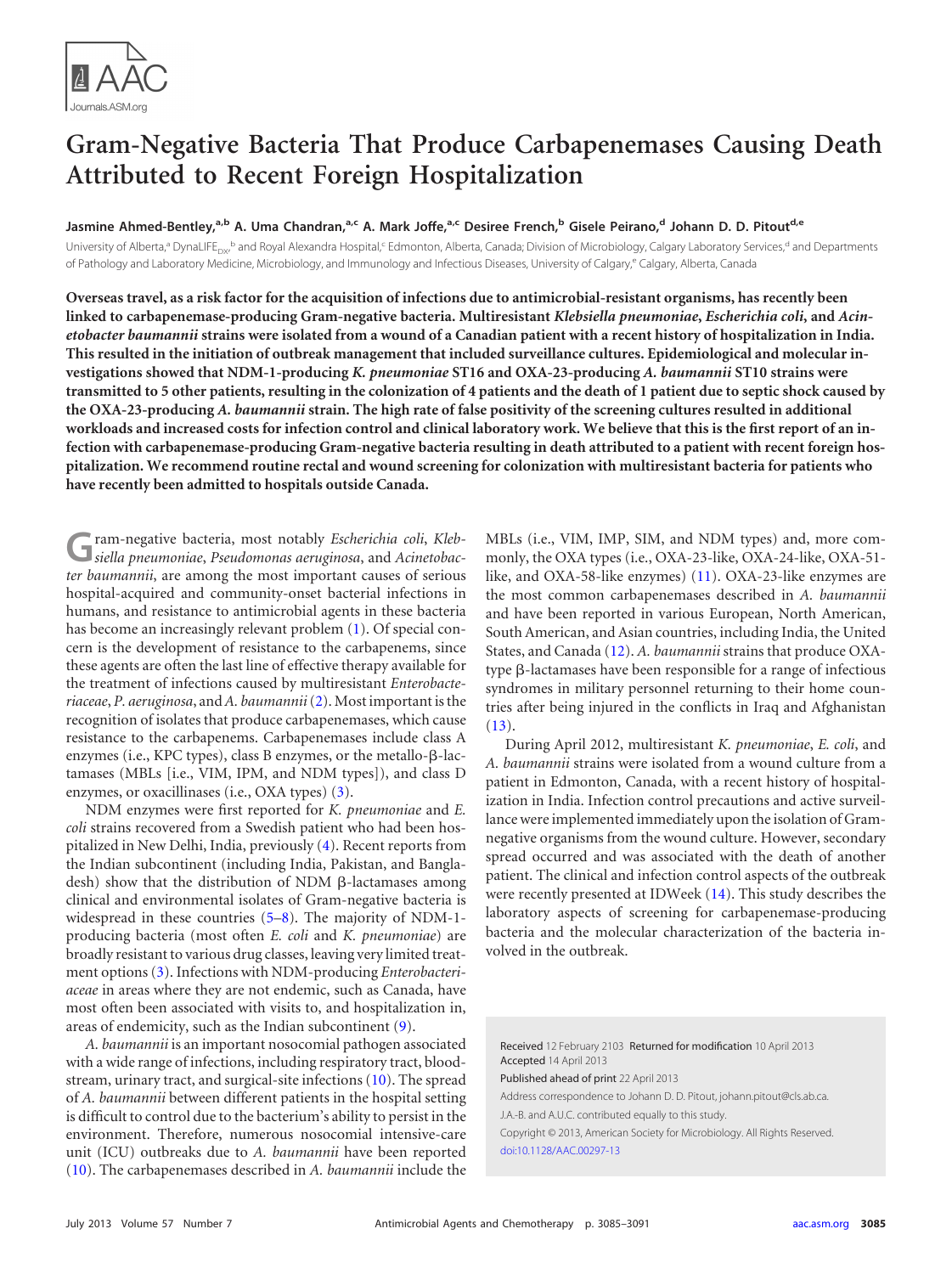

# **Gram-Negative Bacteria That Produce Carbapenemases Causing Death Attributed to Recent Foreign Hospitalization**

**Jasmine Ahmed-Bentley, a,b A. Uma Chandran, a,c A. Mark Joffe, a,c Desiree French, <sup>b</sup> Gisele Peirano, <sup>d</sup> Johann D. D. Pitoutd,e**

University of Alberta,ª DynaLIFE<sub>px</sub>,<sup>b</sup> and Royal Alexandra Hospital,<sup>c</sup> Edmonton, Alberta, Canada; Division of Microbiology, Calgary Laboratory Services,<sup>d</sup> and Departments of Pathology and Laboratory Medicine, Microbiology, and Immunology and Infectious Diseases, University of Calgary,<sup>e</sup> Calgary, Alberta, Canada

**Overseas travel, as a risk factor for the acquisition of infections due to antimicrobial-resistant organisms, has recently been linked to carbapenemase-producing Gram-negative bacteria. Multiresistant** *Klebsiella pneumoniae***,** *Escherichia coli***, and** *Acinetobacter baumannii* **strains were isolated from a wound of a Canadian patient with a recent history of hospitalization in India. This resulted in the initiation of outbreak management that included surveillance cultures. Epidemiological and molecular investigations showed that NDM-1-producing** *K. pneumoniae* **ST16 and OXA-23-producing** *A. baumannii* **ST10 strains were transmitted to 5 other patients, resulting in the colonization of 4 patients and the death of 1 patient due to septic shock caused by the OXA-23-producing** *A. baumannii* **strain. The high rate of false positivity of the screening cultures resulted in additional workloads and increased costs for infection control and clinical laboratory work. We believe that this is the first report of an infection with carbapenemase-producing Gram-negative bacteria resulting in death attributed to a patient with recent foreign hospitalization. We recommend routine rectal and wound screening for colonization with multiresistant bacteria for patients who have recently been admitted to hospitals outside Canada.**

**G**ram-negative bacteria, most notably *Escherichia coli*, *Kleb-siella pneumoniae*, *Pseudomonas aeruginosa*, and *Acinetobacter baumannii*, are among the most important causes of serious hospital-acquired and community-onset bacterial infections in humans, and resistance to antimicrobial agents in these bacteria has become an increasingly relevant problem [\(1\)](#page-5-0). Of special concern is the development of resistance to the carbapenems, since these agents are often the last line of effective therapy available for the treatment of infections caused by multiresistant *Enterobacteriaceae*, *P. aeruginosa*, and*A. baumannii*[\(2\)](#page-5-1). Most important is the recognition of isolates that produce carbapenemases, which cause resistance to the carbapenems. Carbapenemases include class A enzymes (i.e., KPC types), class B enzymes, or the metallo- $\beta$ -lactamases (MBLs [i.e., VIM, IPM, and NDM types]), and class D enzymes, or oxacillinases (i.e., OXA types) [\(3\)](#page-5-2).

NDM enzymes were first reported for *K. pneumoniae* and *E. coli* strains recovered from a Swedish patient who had been hospitalized in New Delhi, India, previously [\(4\)](#page-5-3). Recent reports from the Indian subcontinent (including India, Pakistan, and Bangladesh) show that the distribution of NDM  $\beta$ -lactamases among clinical and environmental isolates of Gram-negative bacteria is widespread in these countries [\(5](#page-5-4)[–8\)](#page-5-5). The majority of NDM-1 producing bacteria (most often *E. coli* and *K. pneumoniae*) are broadly resistant to various drug classes, leaving very limited treatment options [\(3\)](#page-5-2). Infections with NDM-producing *Enterobacteriaceae* in areas where they are not endemic, such as Canada, have most often been associated with visits to, and hospitalization in, areas of endemicity, such as the Indian subcontinent [\(9\)](#page-5-6).

*A. baumannii* is an important nosocomial pathogen associated with a wide range of infections, including respiratory tract, bloodstream, urinary tract, and surgical-site infections [\(10\)](#page-6-0). The spread of *A. baumannii* between different patients in the hospital setting is difficult to control due to the bacterium's ability to persist in the environment. Therefore, numerous nosocomial intensive-care unit (ICU) outbreaks due to *A. baumannii* have been reported [\(10\)](#page-6-0). The carbapenemases described in *A. baumannii* include the

MBLs (i.e., VIM, IMP, SIM, and NDM types) and, more commonly, the OXA types (i.e., OXA-23-like, OXA-24-like, OXA-51 like, and OXA-58-like enzymes) [\(11\)](#page-6-1). OXA-23-like enzymes are the most common carbapenemases described in *A. baumannii* and have been reported in various European, North American, South American, and Asian countries, including India, the United States, and Canada [\(12\)](#page-6-2). *A. baumannii* strains that produce OXA $type$   $\beta$ -lactamases have been responsible for a range of infectious syndromes in military personnel returning to their home countries after being injured in the conflicts in Iraq and Afghanistan  $(13).$  $(13).$ 

During April 2012, multiresistant *K. pneumoniae*, *E. coli*, and *A. baumannii* strains were isolated from a wound culture from a patient in Edmonton, Canada, with a recent history of hospitalization in India. Infection control precautions and active surveillance were implemented immediately upon the isolation of Gramnegative organisms from the wound culture. However, secondary spread occurred and was associated with the death of another patient. The clinical and infection control aspects of the outbreak were recently presented at IDWeek [\(14\)](#page-6-4). This study describes the laboratory aspects of screening for carbapenemase-producing bacteria and the molecular characterization of the bacteria involved in the outbreak.

Received 12 February 2103 Returned for modification 10 April 2013 Accepted 14 April 2013

Published ahead of print 22 April 2013

Address correspondence to Johann D. D. Pitout, johann.pitout@cls.ab.ca. J.A.-B. and A.U.C. contributed equally to this study.

Copyright © 2013, American Society for Microbiology. All Rights Reserved. [doi:10.1128/AAC.00297-13](http://dx.doi.org/10.1128/AAC.00297-13)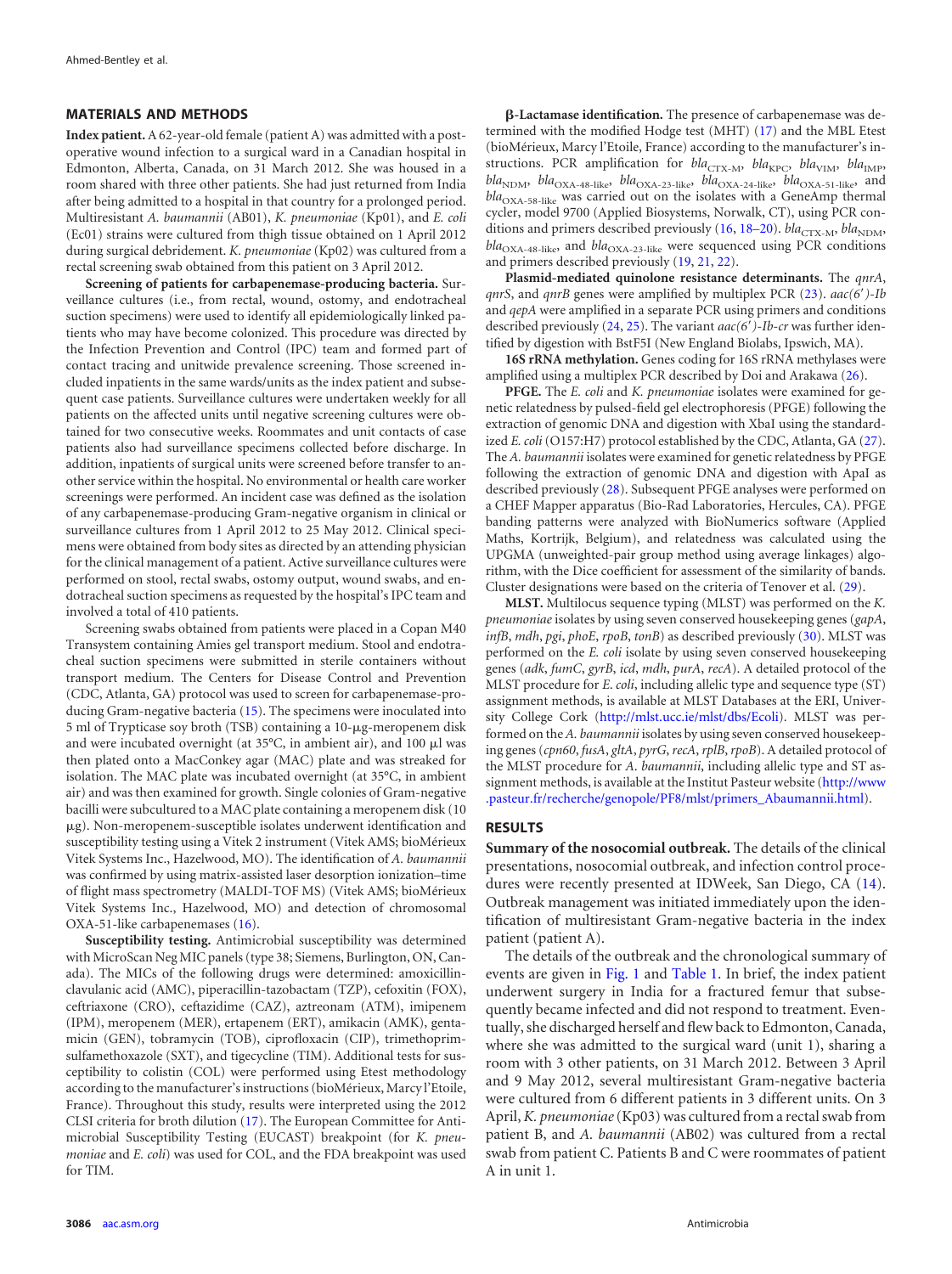#### **MATERIALS AND METHODS**

**Index patient.** A 62-year-old female (patient A) was admitted with a postoperative wound infection to a surgical ward in a Canadian hospital in Edmonton, Alberta, Canada, on 31 March 2012. She was housed in a room shared with three other patients. She had just returned from India after being admitted to a hospital in that country for a prolonged period. Multiresistant *A. baumannii* (AB01), *K. pneumoniae* (Kp01), and *E. coli* (Ec01) strains were cultured from thigh tissue obtained on 1 April 2012 during surgical debridement. *K. pneumoniae* (Kp02) was cultured from a rectal screening swab obtained from this patient on 3 April 2012.

**Screening of patients for carbapenemase-producing bacteria.** Surveillance cultures (i.e., from rectal, wound, ostomy, and endotracheal suction specimens) were used to identify all epidemiologically linked patients who may have become colonized. This procedure was directed by the Infection Prevention and Control (IPC) team and formed part of contact tracing and unitwide prevalence screening. Those screened included inpatients in the same wards/units as the index patient and subsequent case patients. Surveillance cultures were undertaken weekly for all patients on the affected units until negative screening cultures were obtained for two consecutive weeks. Roommates and unit contacts of case patients also had surveillance specimens collected before discharge. In addition, inpatients of surgical units were screened before transfer to another service within the hospital. No environmental or health care worker screenings were performed. An incident case was defined as the isolation of any carbapenemase-producing Gram-negative organism in clinical or surveillance cultures from 1 April 2012 to 25 May 2012. Clinical specimens were obtained from body sites as directed by an attending physician for the clinical management of a patient. Active surveillance cultures were performed on stool, rectal swabs, ostomy output, wound swabs, and endotracheal suction specimens as requested by the hospital's IPC team and involved a total of 410 patients.

Screening swabs obtained from patients were placed in a Copan M40 Transystem containing Amies gel transport medium. Stool and endotracheal suction specimens were submitted in sterile containers without transport medium. The Centers for Disease Control and Prevention (CDC, Atlanta, GA) protocol was used to screen for carbapenemase-producing Gram-negative bacteria [\(15\)](#page-6-5). The specimens were inoculated into 5 ml of Trypticase soy broth (TSB) containing a 10-µg-meropenem disk and were incubated overnight (at 35°C, in ambient air), and 100  $\mu$ l was then plated onto a MacConkey agar (MAC) plate and was streaked for isolation. The MAC plate was incubated overnight (at 35°C, in ambient air) and was then examined for growth. Single colonies of Gram-negative bacilli were subcultured to a MAC plate containing a meropenem disk (10 -g). Non-meropenem-susceptible isolates underwent identification and susceptibility testing using a Vitek 2 instrument (Vitek AMS; bioMérieux Vitek Systems Inc., Hazelwood, MO). The identification of *A. baumannii* was confirmed by using matrix-assisted laser desorption ionization–time of flight mass spectrometry (MALDI-TOF MS) (Vitek AMS; bioMérieux Vitek Systems Inc., Hazelwood, MO) and detection of chromosomal OXA-51-like carbapenemases [\(16\)](#page-6-6).

**Susceptibility testing.** Antimicrobial susceptibility was determined with MicroScan Neg MIC panels (type 38; Siemens, Burlington, ON, Canada). The MICs of the following drugs were determined: amoxicillinclavulanic acid (AMC), piperacillin-tazobactam (TZP), cefoxitin (FOX), ceftriaxone (CRO), ceftazidime (CAZ), aztreonam (ATM), imipenem (IPM), meropenem (MER), ertapenem (ERT), amikacin (AMK), gentamicin (GEN), tobramycin (TOB), ciprofloxacin (CIP), trimethoprimsulfamethoxazole (SXT), and tigecycline (TIM). Additional tests for susceptibility to colistin (COL) were performed using Etest methodology according to the manufacturer's instructions (bioMérieux, Marcy l'Etoile, France). Throughout this study, results were interpreted using the 2012 CLSI criteria for broth dilution [\(17\)](#page-6-7). The European Committee for Antimicrobial Susceptibility Testing (EUCAST) breakpoint (for *K. pneumoniae* and *E. coli*) was used for COL, and the FDA breakpoint was used for TIM.

**-Lactamase identification.** The presence of carbapenemase was determined with the modified Hodge test (MHT) [\(17\)](#page-6-7) and the MBL Etest (bioMérieux, Marcy l'Etoile, France) according to the manufacturer's instructions. PCR amplification for *bla*<sub>CTX-M</sub>, *bla*<sub>KPC</sub>, *bla*<sub>VIM</sub>, *bla*<sub>IMP</sub>,  $bla_{\text{NDM}}$ ,  $bla_{\text{OXA-48-like}}$ ,  $bla_{\text{OXA-23-like}}$ ,  $bla_{\text{OXA-24-like}}$ ,  $bla_{\text{OXA-51-like}}$ , and bla<sub>OXA-58-like</sub> was carried out on the isolates with a GeneAmp thermal cycler, model 9700 (Applied Biosystems, Norwalk, CT), using PCR con-ditions and primers described previously [\(16,](#page-6-6) [18–](#page-6-8)[20\)](#page-6-9). *bla*<sub>CTX-M</sub>, *bla*<sub>NDM</sub>,  $bla_{\text{OXA-48-like}}$ , and  $bla_{\text{OXA-23-like}}$  were sequenced using PCR conditions and primers described previously [\(19,](#page-6-10) [21,](#page-6-11) [22\)](#page-6-12).

**Plasmid-mediated quinolone resistance determinants.** The *qnrA*, *qnrS*, and *qnrB* genes were amplified by multiplex PCR [\(23\)](#page-6-13). *aac(6'*)-Ib and *qepA* were amplified in a separate PCR using primers and conditions described previously [\(24,](#page-6-14) [25\)](#page-6-15). The variant *aac(6*=*)-Ib-cr* was further identified by digestion with BstF5I (New England Biolabs, Ipswich, MA).

**16S rRNA methylation.** Genes coding for 16S rRNA methylases were amplified using a multiplex PCR described by Doi and Arakawa [\(26\)](#page-6-16).

**PFGE.** The *E. coli* and *K. pneumoniae* isolates were examined for genetic relatedness by pulsed-field gel electrophoresis (PFGE) following the extraction of genomic DNA and digestion with XbaI using the standardized *E. coli*(O157:H7) protocol established by the CDC, Atlanta, GA [\(27\)](#page-6-17). The *A. baumannii* isolates were examined for genetic relatedness by PFGE following the extraction of genomic DNA and digestion with ApaI as described previously [\(28\)](#page-6-18). Subsequent PFGE analyses were performed on a CHEF Mapper apparatus (Bio-Rad Laboratories, Hercules, CA). PFGE banding patterns were analyzed with BioNumerics software (Applied Maths, Kortrijk, Belgium), and relatedness was calculated using the UPGMA (unweighted-pair group method using average linkages) algorithm, with the Dice coefficient for assessment of the similarity of bands. Cluster designations were based on the criteria of Tenover et al. [\(29\)](#page-6-19).

**MLST.** Multilocus sequence typing (MLST) was performed on the *K. pneumoniae* isolates by using seven conserved housekeeping genes (*gapA*, *infB*, *mdh*, *pgi*, *phoE*, *rpoB*, *tonB*) as described previously [\(30\)](#page-6-20). MLST was performed on the *E. coli* isolate by using seven conserved housekeeping genes (*adk*, *fumC*, *gyrB*, *icd*, *mdh*, *purA*, *recA*). A detailed protocol of the MLST procedure for *E*. *coli*, including allelic type and sequence type (ST) assignment methods, is available at MLST Databases at the ERI, University College Cork [\(http://mlst.ucc.ie/mlst/dbs/Ecoli\)](http://mlst.ucc.ie/mlst/dbs/Ecoli). MLST was performed on the *A. baumannii* isolates by using seven conserved housekeeping genes (*cpn60*, *fusA*, *gltA*, *pyrG*, *recA*, *rplB*, *rpoB*). A detailed protocol of the MLST procedure for *A*. *baumannii*, including allelic type and ST assignment methods, is available at the Institut Pasteur website [\(http://www](http://www.pasteur.fr/recherche/genopole/PF8/mlst/primers_Abaumannii.html) [.pasteur.fr/recherche/genopole/PF8/mlst/primers\\_Abaumannii.html\)](http://www.pasteur.fr/recherche/genopole/PF8/mlst/primers_Abaumannii.html).

## **RESULTS**

**Summary of the nosocomial outbreak.** The details of the clinical presentations, nosocomial outbreak, and infection control procedures were recently presented at IDWeek, San Diego, CA [\(14\)](#page-6-4). Outbreak management was initiated immediately upon the identification of multiresistant Gram-negative bacteria in the index patient (patient A).

The details of the outbreak and the chronological summary of events are given in [Fig. 1](#page-2-0) and [Table 1.](#page-2-1) In brief, the index patient underwent surgery in India for a fractured femur that subsequently became infected and did not respond to treatment. Eventually, she discharged herself and flew back to Edmonton, Canada, where she was admitted to the surgical ward (unit 1), sharing a room with 3 other patients, on 31 March 2012. Between 3 April and 9 May 2012, several multiresistant Gram-negative bacteria were cultured from 6 different patients in 3 different units. On 3 April,*K. pneumoniae*(Kp03) was cultured from a rectal swab from patient B, and *A. baumannii* (AB02) was cultured from a rectal swab from patient C. Patients B and C were roommates of patient A in unit 1.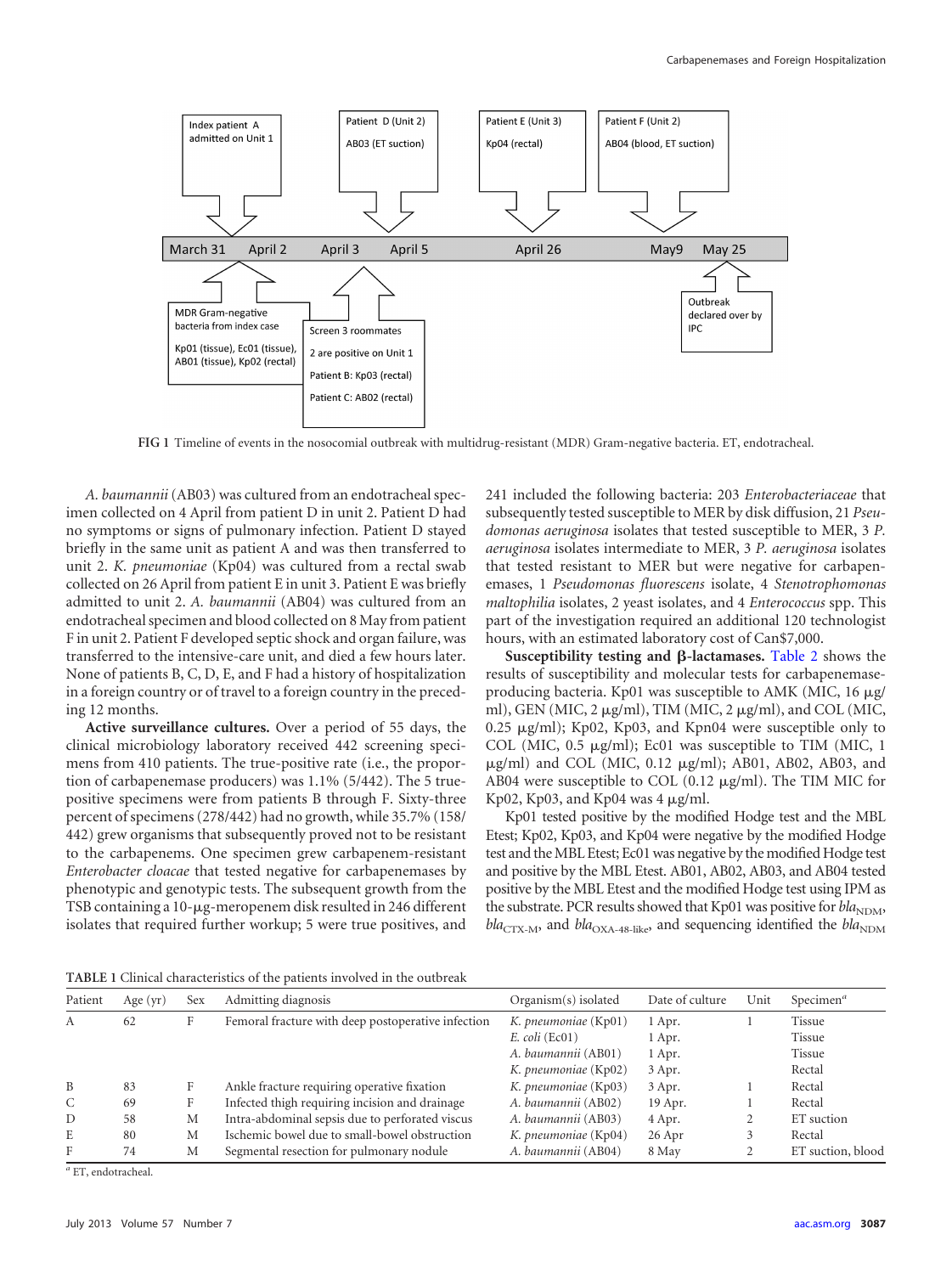

<span id="page-2-0"></span>**FIG 1** Timeline of events in the nosocomial outbreak with multidrug-resistant (MDR) Gram-negative bacteria. ET, endotracheal.

*A. baumannii*(AB03) was cultured from an endotracheal specimen collected on 4 April from patient D in unit 2. Patient D had no symptoms or signs of pulmonary infection. Patient D stayed briefly in the same unit as patient A and was then transferred to unit 2. *K. pneumoniae* (Kp04) was cultured from a rectal swab collected on 26 April from patient E in unit 3. Patient E was briefly admitted to unit 2. *A. baumannii* (AB04) was cultured from an endotracheal specimen and blood collected on 8 May from patient F in unit 2. Patient F developed septic shock and organ failure, was transferred to the intensive-care unit, and died a few hours later. None of patients B, C, D, E, and F had a history of hospitalization in a foreign country or of travel to a foreign country in the preceding 12 months.

**Active surveillance cultures.** Over a period of 55 days, the clinical microbiology laboratory received 442 screening specimens from 410 patients. The true-positive rate (i.e., the proportion of carbapenemase producers) was 1.1% (5/442). The 5 truepositive specimens were from patients B through F. Sixty-three percent of specimens (278/442) had no growth, while 35.7% (158/ 442) grew organisms that subsequently proved not to be resistant to the carbapenems. One specimen grew carbapenem-resistant *Enterobacter cloacae* that tested negative for carbapenemases by phenotypic and genotypic tests. The subsequent growth from the TSB containing a 10-µg-meropenem disk resulted in 246 different isolates that required further workup; 5 were true positives, and

241 included the following bacteria: 203 *Enterobacteriaceae* that subsequently tested susceptible to MER by disk diffusion, 21 *Pseudomonas aeruginosa* isolates that tested susceptible to MER, 3 *P. aeruginosa* isolates intermediate to MER, 3 *P. aeruginosa* isolates that tested resistant to MER but were negative for carbapenemases, 1 *Pseudomonas fluorescens* isolate, 4 *Stenotrophomonas maltophilia* isolates, 2 yeast isolates, and 4 *Enterococcus* spp. This part of the investigation required an additional 120 technologist hours, with an estimated laboratory cost of Can\$7,000.

Susceptibility testing and  $\beta$ -lactamases. [Table 2](#page-2-2) shows the results of susceptibility and molecular tests for carbapenemaseproducing bacteria. Kp01 was susceptible to AMK (MIC, 16 µg/ ml), GEN (MIC, 2  $\mu$ g/ml), TIM (MIC, 2  $\mu$ g/ml), and COL (MIC, 0.25 µg/ml); Kp02, Kp03, and Kpn04 were susceptible only to COL (MIC,  $0.5 \text{ µg/ml}$ ); Ec01 was susceptible to TIM (MIC, 1 µg/ml) and COL (MIC, 0.12 µg/ml); AB01, AB02, AB03, and AB04 were susceptible to COL (0.12 µg/ml). The TIM MIC for Kp02, Kp03, and Kp04 was  $4 \mu g/ml$ .

Kp01 tested positive by the modified Hodge test and the MBL Etest; Kp02, Kp03, and Kp04 were negative by the modified Hodge test and theMBL Etest; Ec01 was negative by the modified Hodge test and positive by the MBL Etest. AB01, AB02, AB03, and AB04 tested positive by the MBL Etest and the modified Hodge test using IPM as the substrate. PCR results showed that Kp01 was positive for  $bla_{\text{NDM}}$ ,  $bla_{\text{CTX-M}}$ , and  $bla_{\text{OXA-48-like}}$ , and sequencing identified the  $bla_{\text{NDM}}$ 

<span id="page-2-1"></span>**TABLE 1** Clinical characteristics of the patients involved in the outbreak

| Patient | Age $(yr)$ | <b>Sex</b> | Admitting diagnosis                                | Organism(s) isolated | Date of culture | Unit | Specimen $a$      |
|---------|------------|------------|----------------------------------------------------|----------------------|-----------------|------|-------------------|
| А       | 62         |            | Femoral fracture with deep postoperative infection | K. pneumoniae (Kp01) | 1 Apr.          |      | Tissue            |
|         |            |            |                                                    | $E.$ coli (Ec01)     | 1 Apr.          |      | Tissue            |
|         |            |            |                                                    | A. baumannii (AB01)  | 1 Apr.          |      | Tissue            |
|         |            |            |                                                    | K. pneumoniae (Kp02) | 3 Apr.          |      | Rectal            |
| B       | 83         | F          | Ankle fracture requiring operative fixation        | K. pneumoniae (Kp03) | 3 Apr.          |      | Rectal            |
| C       | 69         | F          | Infected thigh requiring incision and drainage     | A. baumannii (AB02)  | 19 Apr.         |      | Rectal            |
| D       | 58         | М          | Intra-abdominal sepsis due to perforated viscus    | A. baumannii (AB03)  | 4 Apr.          |      | ET suction        |
| E       | 80         | М          | Ischemic bowel due to small-bowel obstruction      | K. pneumoniae (Kp04) | 26 Apr          |      | Rectal            |
| F       | 74         | М          | Segmental resection for pulmonary nodule           | A. baumannii (AB04)  | 8 May           |      | ET suction, blood |

<span id="page-2-2"></span>*<sup>a</sup>* ET, endotracheal.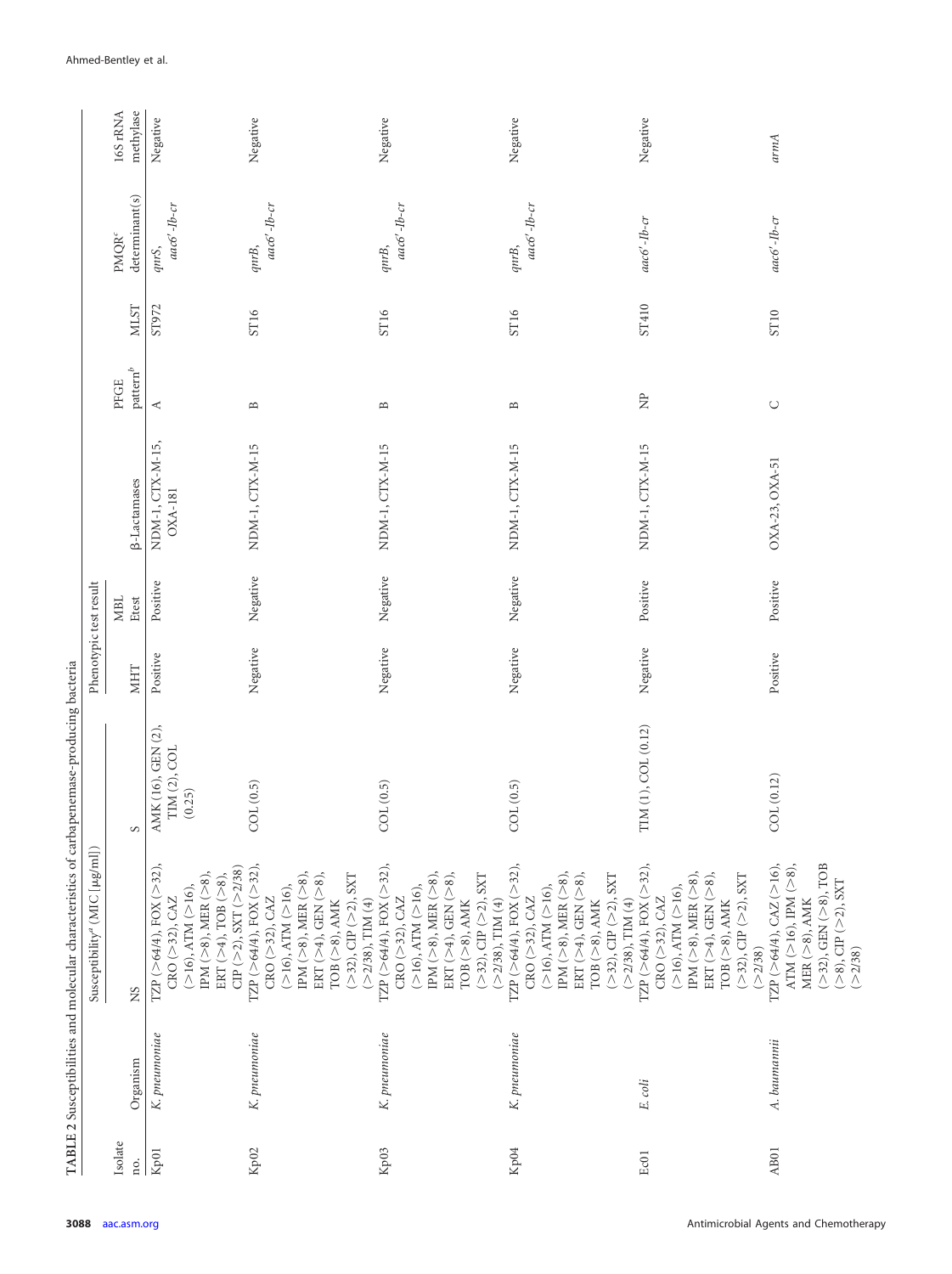|                  |               | TABLE 2 Susceptibilities and molecular characteristics of carbapenemase-producing bacteria                                                                                                                                                        |                                              |                        |                     |                                    |                              |             |                                           |                       |
|------------------|---------------|---------------------------------------------------------------------------------------------------------------------------------------------------------------------------------------------------------------------------------------------------|----------------------------------------------|------------------------|---------------------|------------------------------------|------------------------------|-------------|-------------------------------------------|-----------------------|
|                  |               | Susceptibility <sup><i>a</i></sup> (MIC [µg/ml])                                                                                                                                                                                                  |                                              | Phenotypic test result |                     |                                    |                              |             |                                           |                       |
| Isolate<br>no.   | Organism      | <b>NS</b>                                                                                                                                                                                                                                         | $\infty$                                     | <b>MHT</b>             | <b>MBL</b><br>Etest | <b>B-Lactamases</b>                | $\mathbf{pattern}^b$<br>PFGE | <b>MLST</b> | determinant(s)<br><b>PMQR<sup>c</sup></b> | 16S rRNA<br>methylase |
| Kp01             | K. pneumoniae | TZP $(>64/4)$ , FOX $(>32)$ ,<br>$CIP$ (>2), SXT (>2/38)<br>IPM ( $>8$ ), MER ( $>8$ ),<br>ERT (>4), TOB (>8),<br>$(>16)$ , ATM $(>16)$ ,<br>$CRO$ (>32), $CAZ$                                                                                   | AMK (16), GEN (2),<br>TIM (2), COL<br>(0.25) | Positive               | Positive            | NDM-1, CTX-M-15,<br><b>OXA-181</b> | ≺                            | ST972       | aac6'-Ib-cr<br>qnrS,                      | Negative              |
| Kp <sub>02</sub> | K. pneumoniae | TZP ( $>64/4$ ), FOX ( $>32$ ),<br>IPM ( $>8$ ), MER ( $>8$ ),<br>ERT (>4), GEN (>8),<br>$(>32)$ , CIP $(>2)$ , SXT<br>$(>16)$ , ATM $(>16)$ ,<br>$CRO$ ( $>32$ ), $CAZ$<br>$(>2/38)$ , TIM $(4)$<br>TOB ( >8), AMK                               | COL (0.5)                                    | Negative               | Negative            | NDM-1, CTX-M-15                    | $\mathbf{\underline{m}}$     | ST16        | aac6'-Ib-cr<br>$qnrB$ ,                   | Negative              |
| Kp03             | K. pneumoniae | TZP ( $>64/4$ ), FOX ( $>32$ ),<br>IPM ( $>8$ ), MER ( $>8$ ),<br>ERT (>4), GEN (>8),<br>$($ >32), CIP $($ >2), SXT<br>$(>16)$ , ATM $(>16)$ ,<br>$\mathrm{CRO}$ $(>32),\mathrm{CAZ}$<br>$(>2/38)$ , TIM $(4)$<br>$TOB (>8)$ , AMK                | COL(0.5)                                     | Negative               | Negative            | NDM-1, CTX-M-15                    | $\mathbf{\underline{m}}$     | ST16        | $aac6'-1b-cr$<br>qnrB,                    | Negative              |
| Kp04             | K. pneumoniae | TZP ( $>64/4$ ), FOX ( $>32$ ),<br>IPM ( $>8$ ), MER ( $>8$ ),<br>ERT (>4), GEN (>8),<br>$($ >32), CIP $($ >2), SXT<br>$(>16)$ , ATM $(>16)$ ,<br>$CRO$ ( $>32$ ), $CAZ$<br>$(>2/38)$ , TIM $(4)$<br>$\textsc{TOB}\left(\texttt{>}8\right)$ , AMK | COL (0.5)                                    | Negative               | Negative            | NDM-1, CTX-M-15                    | $\mathbf{\underline{m}}$     | ST16        | $\textit{aac6}'$ -Ib-cr<br>qnrB,          | Negative              |
| Ec01             | E. coli       | TZP ( $>64/4$ ), FOX ( $>32$ ),<br>IPM ( $>8$ ), MER ( $>8$ ),<br>ERT ( $>4$ ), GEN ( $>8$ ),<br>$(\geq 32)$ , CIP $(\geq 2)$ , SXT<br>$(>16)$ , ATM $(>16)$ ,<br>$CRO$ ( $>32$ ), $CAZ$<br>$TOB$ $(>8)$ , AMK<br>(>2/38)                         | TIM (1), COL (0.12)                          | Negative               | Positive            | NDM-1, CTX-M-15                    | È                            | ST410       | aac6'-Ib-cr                               | Negative              |
| AB01             | A. baumannii  | TZP ( $>64/4$ ), CAZ ( $>16$ ),<br>$(>32),$ GEN $(>8),$ TOB<br>ATM ( $>16$ ), IPM ( $>8$ ),<br>$(>8)$ , CIP $(>2)$ , SXT<br>MER $(>8)$ , AMK<br>(>2/38)                                                                                           | COL (0.12)                                   | Positive               | Positive            | OXA-23, OXA-51                     | $\circlearrowright$          | ST10        | aac6'-Ib-cr                               | armA                  |

Ahmed-Bentley et al.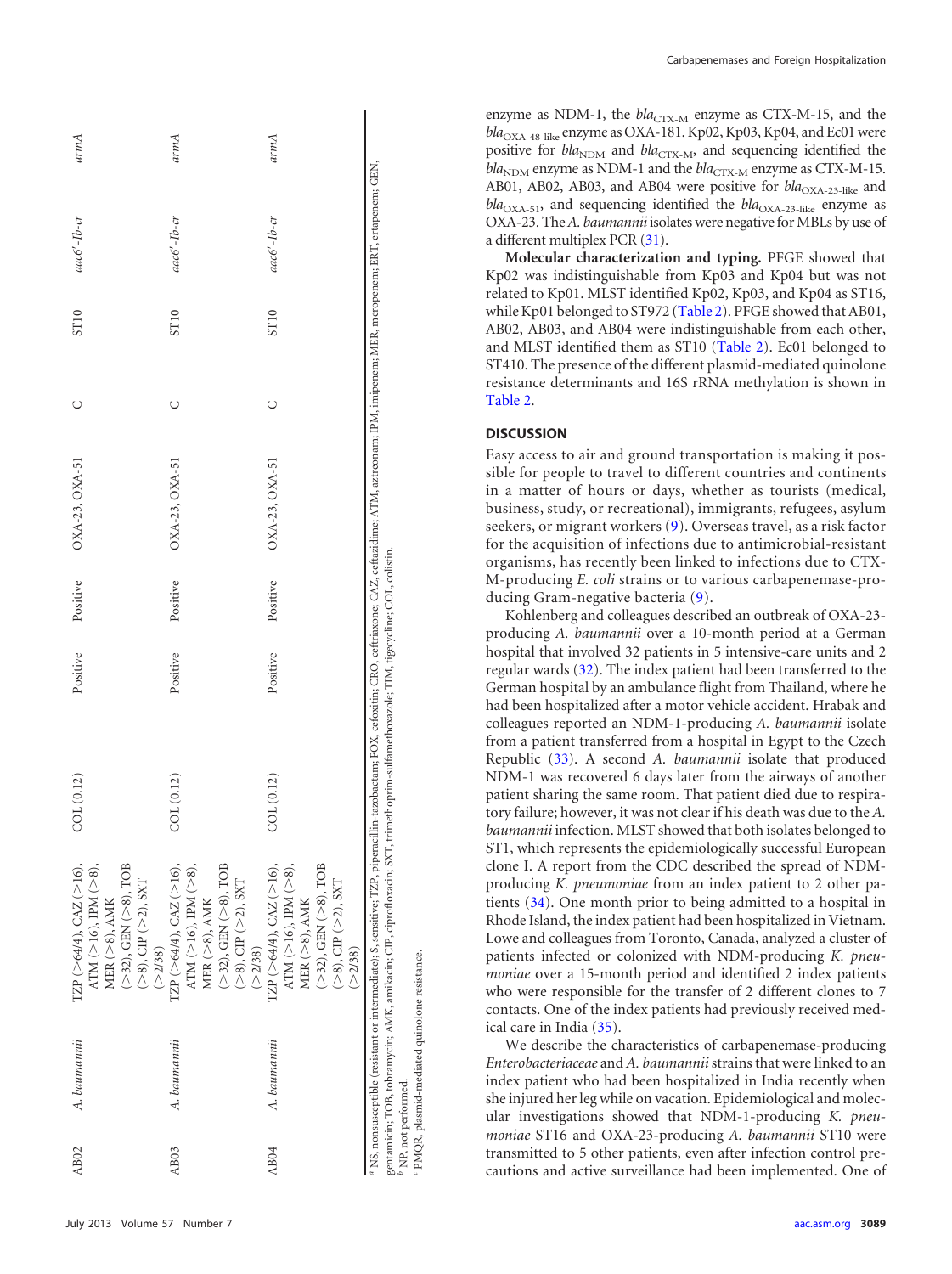| AB <sub>02</sub> | A. baumannii                                                           | TZP (>64/4), CAZ (>16),<br>ATM ( $>16$ ), IPM ( $>8$ ),                                                                                                                                                                                                                                                                                                                 | COL (0.12) | Positive | Positive | OXA-23, OXA-51 |   | <b>ST10</b> | aac6'-Ib-cr | armA |
|------------------|------------------------------------------------------------------------|-------------------------------------------------------------------------------------------------------------------------------------------------------------------------------------------------------------------------------------------------------------------------------------------------------------------------------------------------------------------------|------------|----------|----------|----------------|---|-------------|-------------|------|
|                  |                                                                        | $(>32)$ , GEN $(>8)$ , TOB<br>$(>8)$ , CIP $(>2)$ , SXT<br>$MER$ $(>8)$ , $\Lambda\text{MK}$<br>(2/38)                                                                                                                                                                                                                                                                  |            |          |          |                |   |             |             |      |
| AB03             | A. baumannii                                                           | TZP ( $>64/4$ ), CAZ ( $>16$ ),<br>$(>32)$ , GEN $(>8)$ , TOB<br>ATM ( $>$ 16), IPM ( $>$ 8),<br>$(>8)$ , CIP $(>2)$ , SXT<br>MER ( $>8$ ), AMK<br>(>2/38)                                                                                                                                                                                                              | COL (0.12) | Positive | Positive | OXA-23, OXA-51 | U | <b>ST10</b> | aac6'-Ib-cr | armA |
| AB04             | A. baumannii                                                           | $(\geq 32),$ GEN $(\geq 8),$ TOB<br>$\text{TZP}\ (\text{>}64/4), \text{CAZ}\ (\text{>}16),$<br>ATM ( $>$ 16), IPM ( $>$ 8),<br>$(>8)$ , CIP $(>2)$ , SXT<br>MER ( $>8$ ), AMK<br>(>2/38)                                                                                                                                                                                | COL(0.12)  | Positive | Positive | OXA-23, OXA-51 | U | <b>ST10</b> | aac6'-Ib-cr | armA |
|                  | PMQR, plasmid-mediated quinolone resistance.<br>$b$ NP, not performed. | <sup>a</sup> NS, nonsusceptible (resistant or intermediate); S, sensitive; TZP, piperacillin-tazobactam; FOX, cefoxitin; CRO, ceftriaxone; CAZ, ceftazidime; ATM, aztreonam; IPM, imipenem; MER, meropenem; GEN, ertapenem; GEN,<br>gentamicin; TOB, tobramycin; AMK, amkacin; CIP, ciprofloxacin; SXT, trimethoprim-sulfamethoxazole; TIM, tigecycline; COL, colistin. |            |          |          |                |   |             |             |      |

Carbapenemases and Foreign Hospitalization

enzyme as NDM-1, the  $bla_{\text{CTX-M}}$  enzyme as CTX-M-15, and the bla<sub>OXA-48-like</sub> enzyme as OXA-181. Kp02, Kp03, Kp04, and Ec01 were positive for *bla*<sub>NDM</sub> and *bla*<sub>CTX-M</sub>, and sequencing identified the *bla*<sub>NDM</sub> enzyme as NDM-1 and the *bla*<sub>CTX-M</sub> enzyme as CTX-M-15. AB01, AB02, AB03, and AB04 were positive for *bla*<sub>OXA-23-like</sub> and  $bla<sub>OXA-51</sub>$ , and sequencing identified the  $bla<sub>OXA-23-like</sub>$  enzyme as OXA-23. The*A. baumannii* isolates were negative for MBLs by use of a different multiplex PCR [\(31\)](#page-6-21).

**Molecular characterization and typing.** PFGE showed that Kp02 was indistinguishable from Kp03 and Kp04 but was not related to Kp01. MLST identified Kp02, Kp03, and Kp04 as ST16, while Kp01 belonged to ST972 [\(Table 2\)](#page-2-2). PFGE showed that AB01, AB02, AB03, and AB04 were indistinguishable from each other, and MLST identified them as ST10 [\(Table 2\)](#page-2-2). Ec01 belonged to ST410. The presence of the different plasmid-mediated quinolone resistance determinants and 16S rRNA methylation is shown in [Table 2.](#page-2-2)

## **DISCUSSION**

Easy access to air and ground transportation is making it possible for people to travel to different countries and continents in a matter of hours or days, whether as tourists (medical, business, study, or recreational), immigrants, refugees, asylum seekers, or migrant workers [\(9\)](#page-5-6). Overseas travel, as a risk factor for the acquisition of infections due to antimicrobial-resistant organisms, has recently been linked to infections due to CTX-M-producing *E. coli* strains or to various carbapenemase-producing Gram-negative bacteria [\(9\)](#page-5-6).

Kohlenberg and colleagues described an outbreak of OXA-23 producing *A. baumannii* over a 10-month period at a German hospital that involved 32 patients in 5 intensive-care units and 2 regular wards [\(32\)](#page-6-22). The index patient had been transferred to the German hospital by an ambulance flight from Thailand, where he had been hospitalized after a motor vehicle accident. Hrabak and colleagues reported an NDM-1-producing *A. baumannii* isolate from a patient transferred from a hospital in Egypt to the Czech Republic [\(33\)](#page-6-23). A second *A. baumannii* isolate that produced NDM-1 was recovered 6 days later from the airways of another patient sharing the same room. That patient died due to respiratory failure; however, it was not clear if his death was due to the *A. baumannii* infection. MLST showed that both isolates belonged to ST1, which represents the epidemiologically successful European clone I. A report from the CDC described the spread of NDMproducing *K. pneumoniae* from an index patient to 2 other patients [\(34\)](#page-6-24). One month prior to being admitted to a hospital in Rhode Island, the index patient had been hospitalized in Vietnam. Lowe and colleagues from Toronto, Canada, analyzed a cluster of patients infected or colonized with NDM-producing *K. pneumoniae* over a 15-month period and identified 2 index patients who were responsible for the transfer of 2 different clones to 7 contacts. One of the index patients had previously received medical care in India [\(35\)](#page-6-25).

We describe the characteristics of carbapenemase-producing *Enterobacteriaceae* and *A. baumannii*strains that were linked to an index patient who had been hospitalized in India recently when she injured her leg while on vacation. Epidemiological and molecular investigations showed that NDM-1-producing *K. pneumoniae* ST16 and OXA-23-producing *A. baumannii* ST10 were transmitted to 5 other patients, even after infection control precautions and active surveillance had been implemented. One of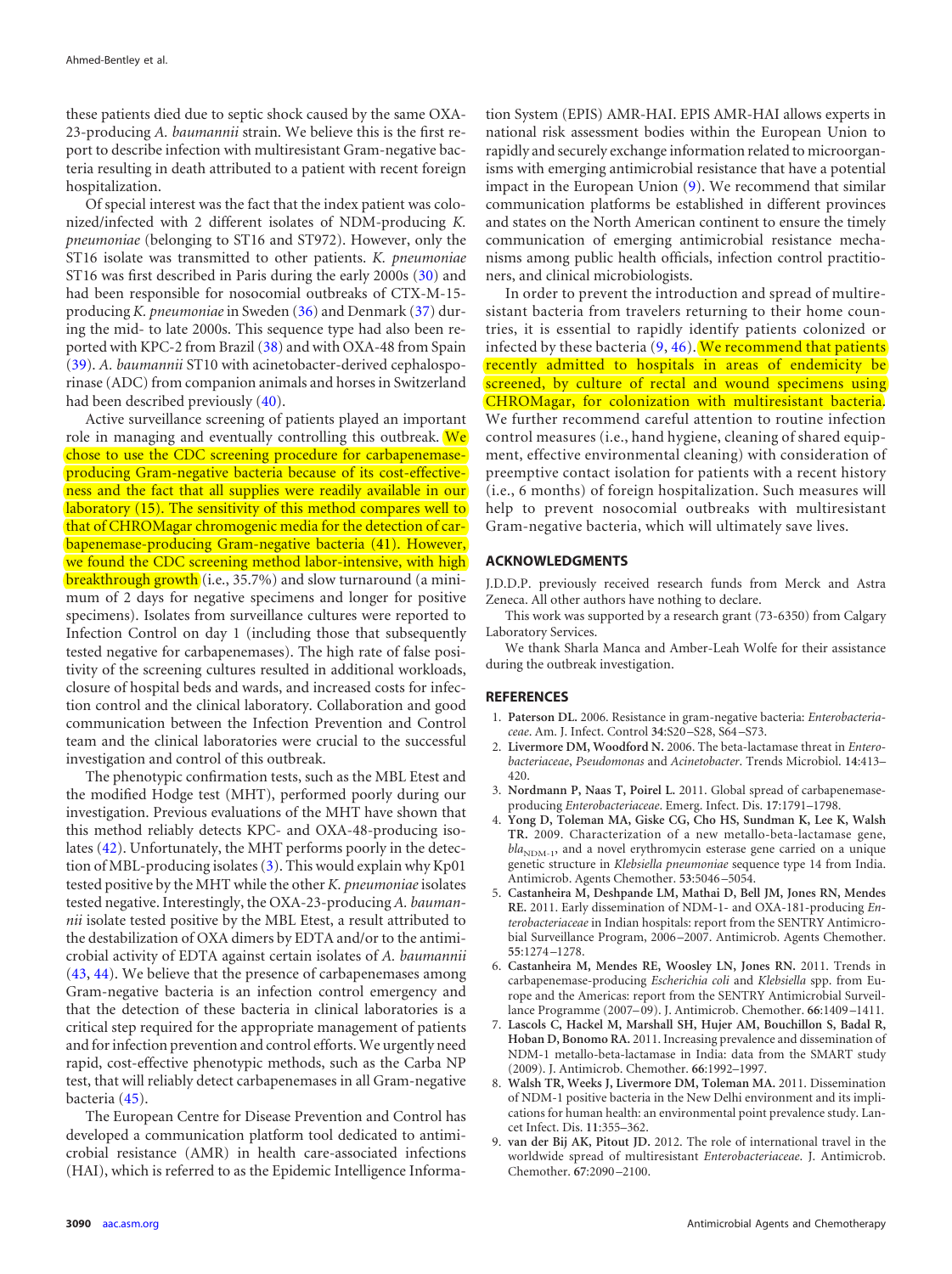these patients died due to septic shock caused by the same OXA-23-producing *A. baumannii* strain. We believe this is the first report to describe infection with multiresistant Gram-negative bacteria resulting in death attributed to a patient with recent foreign hospitalization.

Of special interest was the fact that the index patient was colonized/infected with 2 different isolates of NDM-producing *K. pneumoniae* (belonging to ST16 and ST972). However, only the ST16 isolate was transmitted to other patients. *K. pneumoniae* ST16 was first described in Paris during the early 2000s [\(30\)](#page-6-20) and had been responsible for nosocomial outbreaks of CTX-M-15 producing *K. pneumoniae*in Sweden [\(36\)](#page-6-26) and Denmark [\(37\)](#page-6-27) during the mid- to late 2000s. This sequence type had also been reported with KPC-2 from Brazil [\(38\)](#page-6-28) and with OXA-48 from Spain [\(39\)](#page-6-29). *A. baumannii* ST10 with acinetobacter-derived cephalosporinase (ADC) from companion animals and horses in Switzerland had been described previously [\(40\)](#page-6-30).

Active surveillance screening of patients played an important role in managing and eventually controlling this outbreak. We chose to use the CDC screening procedure for carbapenemaseproducing Gram-negative bacteria because of its cost-effectiveness and the fact that all supplies were readily available in our laboratory [\(15\)](#page-6-5). The sensitivity of this method compares well to that of CHROMagar chromogenic media for the detection of carbapenemase-producing Gram-negative bacteria [\(41\)](#page-6-31). However, we found the CDC screening method labor-intensive, with high breakthrough growth (i.e., 35.7%) and slow turnaround (a minimum of 2 days for negative specimens and longer for positive specimens). Isolates from surveillance cultures were reported to Infection Control on day 1 (including those that subsequently tested negative for carbapenemases). The high rate of false positivity of the screening cultures resulted in additional workloads, closure of hospital beds and wards, and increased costs for infection control and the clinical laboratory. Collaboration and good communication between the Infection Prevention and Control team and the clinical laboratories were crucial to the successful investigation and control of this outbreak.

The phenotypic confirmation tests, such as the MBL Etest and the modified Hodge test (MHT), performed poorly during our investigation. Previous evaluations of the MHT have shown that this method reliably detects KPC- and OXA-48-producing isolates [\(42\)](#page-6-32). Unfortunately, the MHT performs poorly in the detection of MBL-producing isolates [\(3\)](#page-5-2). This would explain why Kp01 tested positive by the MHT while the other *K. pneumoniae*isolates tested negative. Interestingly, the OXA-23-producing *A. baumannii* isolate tested positive by the MBL Etest, a result attributed to the destabilization of OXA dimers by EDTA and/or to the antimicrobial activity of EDTA against certain isolates of *A. baumannii* [\(43,](#page-6-33) [44\)](#page-6-34). We believe that the presence of carbapenemases among Gram-negative bacteria is an infection control emergency and that the detection of these bacteria in clinical laboratories is a critical step required for the appropriate management of patients and for infection prevention and control efforts.We urgently need rapid, cost-effective phenotypic methods, such as the Carba NP test, that will reliably detect carbapenemases in all Gram-negative bacteria [\(45\)](#page-6-35).

The European Centre for Disease Prevention and Control has developed a communication platform tool dedicated to antimicrobial resistance (AMR) in health care-associated infections (HAI), which is referred to as the Epidemic Intelligence Information System (EPIS) AMR-HAI. EPIS AMR-HAI allows experts in national risk assessment bodies within the European Union to rapidly and securely exchange information related to microorganisms with emerging antimicrobial resistance that have a potential impact in the European Union [\(9\)](#page-5-6). We recommend that similar communication platforms be established in different provinces and states on the North American continent to ensure the timely communication of emerging antimicrobial resistance mechanisms among public health officials, infection control practitioners, and clinical microbiologists.

In order to prevent the introduction and spread of multiresistant bacteria from travelers returning to their home countries, it is essential to rapidly identify patients colonized or infected by these bacteria [\(9,](#page-5-6) [46\)](#page-6-36). We recommend that patients recently admitted to hospitals in areas of endemicity be screened, by culture of rectal and wound specimens using CHROMagar, for colonization with multiresistant bacteria. We further recommend careful attention to routine infection control measures (i.e., hand hygiene, cleaning of shared equipment, effective environmental cleaning) with consideration of preemptive contact isolation for patients with a recent history (i.e., 6 months) of foreign hospitalization. Such measures will help to prevent nosocomial outbreaks with multiresistant Gram-negative bacteria, which will ultimately save lives.

## **ACKNOWLEDGMENTS**

J.D.D.P. previously received research funds from Merck and Astra Zeneca. All other authors have nothing to declare.

This work was supported by a research grant (73-6350) from Calgary Laboratory Services.

We thank Sharla Manca and Amber-Leah Wolfe for their assistance during the outbreak investigation.

#### <span id="page-5-0"></span>**REFERENCES**

- <span id="page-5-1"></span>1. **Paterson DL.** 2006. Resistance in gram-negative bacteria: *Enterobacteriaceae*. Am. J. Infect. Control **34**:S20 –S28, S64 –S73.
- 2. **Livermore DM, Woodford N.** 2006. The beta-lactamase threat in *Enterobacteriaceae*, *Pseudomonas* and *Acinetobacter*. Trends Microbiol. **14**:413– 420.
- <span id="page-5-3"></span><span id="page-5-2"></span>3. **Nordmann P, Naas T, Poirel L.** 2011. Global spread of carbapenemaseproducing *Enterobacteriaceae*. Emerg. Infect. Dis. **17**:1791–1798.
- 4. **Yong D, Toleman MA, Giske CG, Cho HS, Sundman K, Lee K, Walsh TR.** 2009. Characterization of a new metallo-beta-lactamase gene, bla<sub>NDM-1</sub>, and a novel erythromycin esterase gene carried on a unique genetic structure in *Klebsiella pneumoniae* sequence type 14 from India. Antimicrob. Agents Chemother. **53**:5046 –5054.
- <span id="page-5-4"></span>5. **Castanheira M, Deshpande LM, Mathai D, Bell JM, Jones RN, Mendes RE.** 2011. Early dissemination of NDM-1- and OXA-181-producing *Enterobacteriaceae* in Indian hospitals: report from the SENTRY Antimicrobial Surveillance Program, 2006 –2007. Antimicrob. Agents Chemother. **55**:1274 –1278.
- 6. **Castanheira M, Mendes RE, Woosley LN, Jones RN.** 2011. Trends in carbapenemase-producing *Escherichia coli* and *Klebsiella* spp. from Europe and the Americas: report from the SENTRY Antimicrobial Surveillance Programme (2007– 09). J. Antimicrob. Chemother. **66**:1409 –1411.
- 7. **Lascols C, Hackel M, Marshall SH, Hujer AM, Bouchillon S, Badal R, Hoban D, Bonomo RA.** 2011. Increasing prevalence and dissemination of NDM-1 metallo-beta-lactamase in India: data from the SMART study (2009). J. Antimicrob. Chemother. **66**:1992–1997.
- <span id="page-5-5"></span>8. **Walsh TR, Weeks J, Livermore DM, Toleman MA.** 2011. Dissemination of NDM-1 positive bacteria in the New Delhi environment and its implications for human health: an environmental point prevalence study. Lancet Infect. Dis. **11**:355–362.
- <span id="page-5-6"></span>9. **van der Bij AK, Pitout JD.** 2012. The role of international travel in the worldwide spread of multiresistant *Enterobacteriaceae*. J. Antimicrob. Chemother. **67**:2090 –2100.